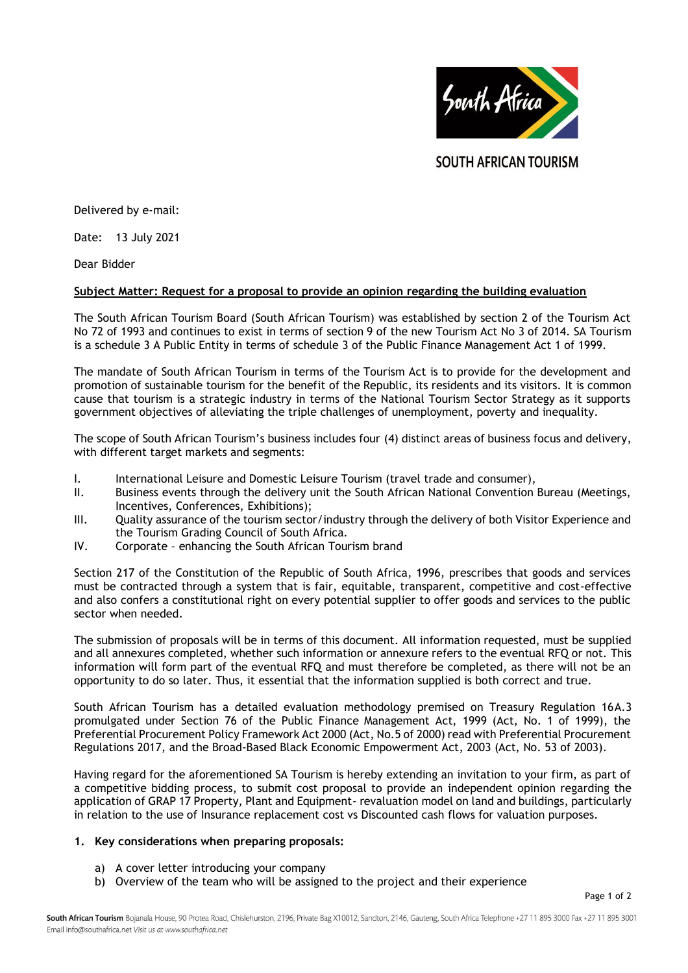

**SOUTH AFRICAN TOURISM** 

Delivered by e-mail:

Date: 13 July 2021

Dear Bidder

### **Subject Matter: Request for a proposal to provide an opinion regarding the building evaluation**

The South African Tourism Board (South African Tourism) was established by section 2 of the Tourism Act No 72 of 1993 and continues to exist in terms of section 9 of the new Tourism Act No 3 of 2014. SA Tourism is a schedule 3 A Public Entity in terms of schedule 3 of the Public Finance Management Act 1 of 1999.

The mandate of South African Tourism in terms of the Tourism Act is to provide for the development and promotion of sustainable tourism for the benefit of the Republic, its residents and its visitors. It is common cause that tourism is a strategic industry in terms of the National Tourism Sector Strategy as it supports government objectives of alleviating the triple challenges of unemployment, poverty and inequality.

The scope of South African Tourism's business includes four (4) distinct areas of business focus and delivery, with different target markets and segments:

- I. International Leisure and Domestic Leisure Tourism (travel trade and consumer),
- II. Business events through the delivery unit the South African National Convention Bureau (Meetings, Incentives, Conferences, Exhibitions);
- III. Quality assurance of the tourism sector/industry through the delivery of both Visitor Experience and the Tourism Grading Council of South Africa.
- IV. Corporate enhancing the South African Tourism brand

Section 217 of the Constitution of the Republic of South Africa, 1996, prescribes that goods and services must be contracted through a system that is fair, equitable, transparent, competitive and cost-effective and also confers a constitutional right on every potential supplier to offer goods and services to the public sector when needed.

The submission of proposals will be in terms of this document. All information requested, must be supplied and all annexures completed, whether such information or annexure refers to the eventual RFQ or not. This information will form part of the eventual RFQ and must therefore be completed, as there will not be an opportunity to do so later. Thus, it essential that the information supplied is both correct and true.

South African Tourism has a detailed evaluation methodology premised on Treasury Regulation 16A.3 promulgated under Section 76 of the Public Finance Management Act, 1999 (Act, No. 1 of 1999), the Preferential Procurement Policy Framework Act 2000 (Act, No.5 of 2000) read with Preferential Procurement Regulations 2017, and the Broad-Based Black Economic Empowerment Act, 2003 (Act, No. 53 of 2003).

Having regard for the aforementioned SA Tourism is hereby extending an invitation to your firm, as part of a competitive bidding process, to submit cost proposal to provide an independent opinion regarding the application of GRAP 17 Property, Plant and Equipment- revaluation model on land and buildings, particularly in relation to the use of Insurance replacement cost vs Discounted cash flows for valuation purposes.

### **1. Key considerations when preparing proposals:**

- a) A cover letter introducing your company
- b) Overview of the team who will be assigned to the project and their experience